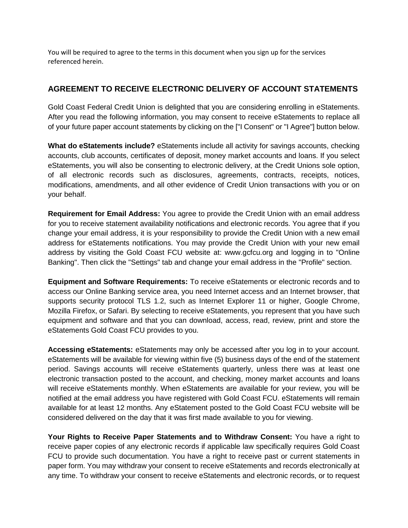You will be required to agree to the terms in this document when you sign up for the services referenced herein.

## **AGREEMENT TO RECEIVE ELECTRONIC DELIVERY OF ACCOUNT STATEMENTS**

Gold Coast Federal Credit Union is delighted that you are considering enrolling in eStatements. After you read the following information, you may consent to receive eStatements to replace all of your future paper account statements by clicking on the ["I Consent" or "I Agree"] button below.

**What do eStatements include?** eStatements include all activity for savings accounts, checking accounts, club accounts, certificates of deposit, money market accounts and loans. If you select eStatements, you will also be consenting to electronic delivery, at the Credit Unions sole option, of all electronic records such as disclosures, agreements, contracts, receipts, notices, modifications, amendments, and all other evidence of Credit Union transactions with you or on your behalf.

**Requirement for Email Address:** You agree to provide the Credit Union with an email address for you to receive statement availability notifications and electronic records. You agree that if you change your email address, it is your responsibility to provide the Credit Union with a new email address for eStatements notifications. You may provide the Credit Union with your new email address by visiting the Gold Coast FCU website at: www.gcfcu.org and logging in to "Online Banking". Then click the "Settings" tab and change your email address in the "Profile" section.

**Equipment and Software Requirements:** To receive eStatements or electronic records and to access our Online Banking service area, you need Internet access and an Internet browser, that supports security protocol TLS 1.2, such as Internet Explorer 11 or higher, Google Chrome, Mozilla Firefox, or Safari. By selecting to receive eStatements, you represent that you have such equipment and software and that you can download, access, read, review, print and store the eStatements Gold Coast FCU provides to you.

**Accessing eStatements:** eStatements may only be accessed after you log in to your account. eStatements will be available for viewing within five (5) business days of the end of the statement period. Savings accounts will receive eStatements quarterly, unless there was at least one electronic transaction posted to the account, and checking, money market accounts and loans will receive eStatements monthly. When eStatements are available for your review, you will be notified at the email address you have registered with Gold Coast FCU. eStatements will remain available for at least 12 months. Any eStatement posted to the Gold Coast FCU website will be considered delivered on the day that it was first made available to you for viewing.

**Your Rights to Receive Paper Statements and to Withdraw Consent:** You have a right to receive paper copies of any electronic records if applicable law specifically requires Gold Coast FCU to provide such documentation. You have a right to receive past or current statements in paper form. You may withdraw your consent to receive eStatements and records electronically at any time. To withdraw your consent to receive eStatements and electronic records, or to request